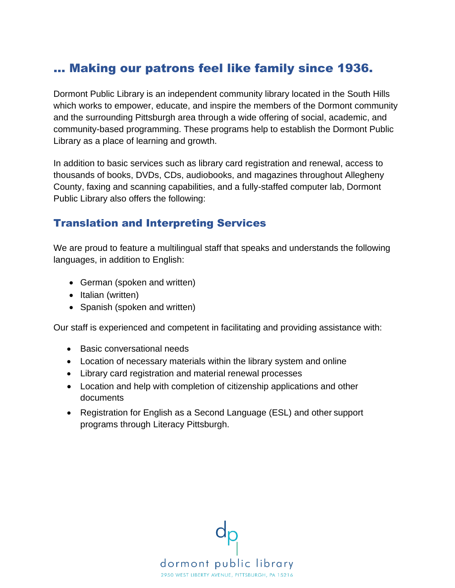# … Making our patrons feel like family since 1936.

Dormont Public Library is an independent community library located in the South Hills which works to empower, educate, and inspire the members of the Dormont community and the surrounding Pittsburgh area through a wide offering of social, academic, and community-based programming. These programs help to establish the Dormont Public Library as a place of learning and growth.

In addition to basic services such as library card registration and renewal, access to thousands of books, DVDs, CDs, audiobooks, and magazines throughout Allegheny County, faxing and scanning capabilities, and a fully-staffed computer lab, Dormont Public Library also offers the following:

### Translation and Interpreting Services

We are proud to feature a multilingual staff that speaks and understands the following languages, in addition to English:

- German (spoken and written)
- Italian (written)
- Spanish (spoken and written)

Our staff is experienced and competent in facilitating and providing assistance with:

- Basic conversational needs
- Location of necessary materials within the library system and online
- Library card registration and material renewal processes
- Location and help with completion of citizenship applications and other documents
- Registration for English as a Second Language (ESL) and other support programs through Literacy Pittsburgh.

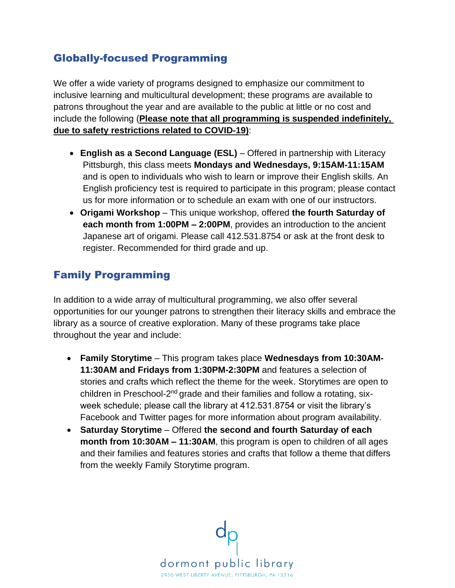# Globally-focused Programming

We offer a wide variety of programs designed to emphasize our commitment to inclusive learning and multicultural development; these programs are available to patrons throughout the year and are available to the public at little or no cost and include the following (**Please note that all programming is suspended indefinitely, due to safety restrictions related to COVID-19)**:

- **English as a Second Language (ESL)**  Offered in partnership with Literacy Pittsburgh, this class meets **Mondays and Wednesdays, 9:15AM-11:15AM**  and is open to individuals who wish to learn or improve their English skills. An English proficiency test is required to participate in this program; please contact us for more information or to schedule an exam with one of our instructors.
- **Origami Workshop** This unique workshop, offered **the fourth Saturday of each month from 1:00PM – 2:00PM**, provides an introduction to the ancient Japanese art of origami. Please call 412.531.8754 or ask at the front desk to register. Recommended for third grade and up.

# Family Programming

In addition to a wide array of multicultural programming, we also offer several opportunities for our younger patrons to strengthen their literacy skills and embrace the library as a source of creative exploration. Many of these programs take place throughout the year and include:

- **Family Storytime**  This program takes place **Wednesdays from 10:30AM-11:30AM and Fridays from 1:30PM-2:30PM** and features a selection of stories and crafts which reflect the theme for the week. Storytimes are open to children in Preschool-2<sup>nd</sup> grade and their families and follow a rotating, sixweek schedule; please call the library at 412.531.8754 or visit the library's Facebook and Twitter pages for more information about program availability.
- **Saturday Storytime**  Offered **the second and fourth Saturday of each month from 10:30AM – 11:30AM**, this program is open to children of all ages and their families and features stories and crafts that follow a theme that differs from the weekly Family Storytime program.